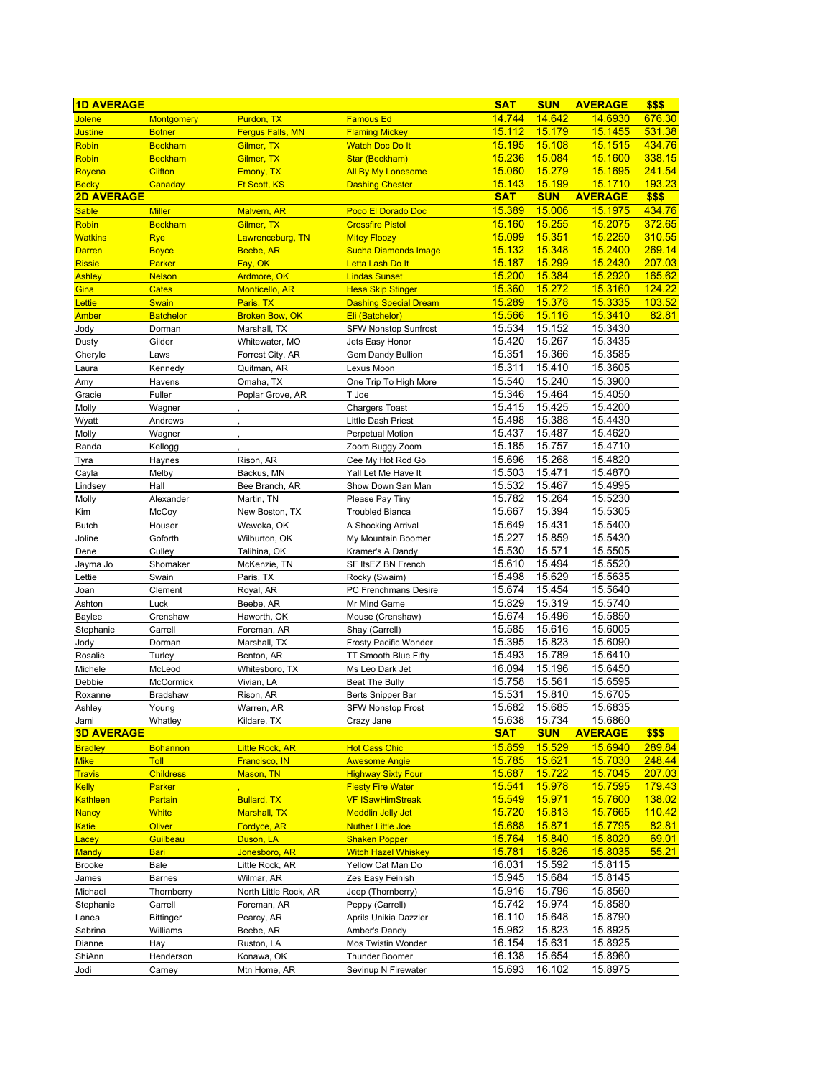| <b>1D AVERAGE</b>     |                              |                                    |                                                      | <b>SAT</b>       | <b>SUN</b>       | <b>AVERAGE</b>            | \$\$\$                 |
|-----------------------|------------------------------|------------------------------------|------------------------------------------------------|------------------|------------------|---------------------------|------------------------|
| Jolene                | Montgomery                   | Purdon, TX                         | <b>Famous Ed</b>                                     | 14.744           | 14.642           | 14.6930                   | 676.30                 |
| <b>Justine</b>        | <b>Botner</b>                | <b>Fergus Falls, MN</b>            | <b>Flaming Mickey</b>                                | 15.112           | <b>15.179</b>    | 15.1455                   | 531.38                 |
| <b>Robin</b>          | <b>Beckham</b>               | Gilmer, TX                         | <b>Watch Doc Do It</b>                               | 15.195           | 15.108           | 15.1515                   | 434.76                 |
| <b>Robin</b>          | <b>Beckham</b>               | Gilmer, TX                         | Star (Beckham)                                       | 15.236           | 15.084           | 15.1600                   | 338.15                 |
| Royena                | <b>Clifton</b>               | Emony, TX                          | <b>All By My Lonesome</b>                            | 15.060           | 15.279           | 15.1695                   | 241.54                 |
| <b>Becky</b>          | Canaday                      | Ft Scott, KS                       | <b>Dashing Chester</b>                               | 15.143           | 15.199           | <u>15.1710</u>            | 193.23                 |
| <b>2D AVERAGE</b>     |                              |                                    |                                                      | <b>SAT</b>       | <b>SUN</b>       | <b>AVERAGE</b>            | \$\$\$                 |
| <b>Sable</b>          | <b>Miller</b>                | Malvern, AR                        | Poco El Dorado Doc                                   | 15.389           | 15.006           | <b>15.1975</b>            | 434.76                 |
| Robin                 | <b>Beckham</b>               | Gilmer, TX                         | <b>Crossfire Pistol</b>                              | 15.160           | 15.255           | 15.2075                   | 372.65                 |
| <b>Watkins</b>        | <b>Rye</b>                   | Lawrenceburg, TN                   | <b>Mitey Floozy</b>                                  | 15.099           | 15.351           | 15.2250                   | 310.55                 |
| <b>Darren</b>         | <b>Boyce</b>                 | Beebe, AR                          | <b>Sucha Diamonds Image</b>                          | 15.132           | 15.348           | <b>15.2400</b>            | 269.14                 |
| <b>Rissie</b>         | Parker                       | Fay, OK                            | Letta Lash Do It                                     | 15.187           | 15.299           | 15.2430                   | 207.03                 |
| <b>Ashley</b>         | <b>Nelson</b>                | Ardmore, OK                        | <b>Lindas Sunset</b><br><b>Hesa Skip Stinger</b>     | 15.200<br>15.360 | 15.384<br>15.272 | 15.2920<br><b>15.3160</b> | 165.62<br>124.22       |
| Gina<br>Lettie        | <b>Cates</b><br><b>Swain</b> | <b>Monticello, AR</b><br>Paris, TX | <b>Dashing Special Dream</b>                         | 15.289           | 15.378           | 15.3335                   | 103.52                 |
| Amber                 | <b>Batchelor</b>             | <b>Broken Bow, OK</b>              | Eli (Batchelor)                                      | 15.566           | 15.116           | 15.3410                   | 82.81                  |
| Jody                  | Dorman                       | Marshall, TX                       | <b>SFW Nonstop Sunfrost</b>                          | 15.534           | 15.152           | 15.3430                   |                        |
| Dusty                 | Gilder                       | Whitewater, MO                     | Jets Easy Honor                                      | 15.420           | 15.267           | 15.3435                   |                        |
| Cheryle               | Laws                         | Forrest City, AR                   | Gem Dandy Bullion                                    | 15.351           | 15.366           | 15.3585                   |                        |
| Laura                 | Kennedy                      | Quitman, AR                        | Lexus Moon                                           | 15.311           | 15.410           | 15.3605                   |                        |
| Amy                   | Havens                       | Omaha, TX                          | One Trip To High More                                | 15.540           | 15.240           | 15.3900                   |                        |
| Gracie                | Fuller                       | Poplar Grove, AR                   | T Joe                                                | 15.346           | 15.464           | 15.4050                   |                        |
| Molly                 | Wagner                       |                                    | <b>Chargers Toast</b>                                | 15.415           | 15.425           | 15.4200                   |                        |
| Wyatt                 | Andrews                      |                                    | Little Dash Priest                                   | 15.498           | 15.388           | 15.4430                   |                        |
| Molly                 | Wagner                       |                                    | <b>Perpetual Motion</b>                              | 15.437           | 15.487           | 15.4620                   |                        |
| Randa                 | Kellogg                      |                                    | Zoom Buggy Zoom                                      | 15.185           | 15.757           | 15.4710                   |                        |
| Tyra                  | Haynes                       | Rison, AR                          | Cee My Hot Rod Go                                    | 15.696           | 15.268           | 15.4820                   |                        |
| Cayla                 | Melby                        | Backus, MN                         | Yall Let Me Have It                                  | 15.503           | 15.471           | 15.4870                   |                        |
| Lindsey               | Hall                         | Bee Branch, AR                     | Show Down San Man                                    | 15.532           | 15.467           | 15.4995                   |                        |
| Molly                 | Alexander                    | Martin, TN                         | Please Pay Tiny                                      | 15.782           | 15.264           | 15.5230                   |                        |
| Kim                   | McCoy                        | New Boston, TX                     | <b>Troubled Bianca</b>                               | 15.667           | 15.394           | 15.5305                   |                        |
| <b>Butch</b>          | Houser                       | Wewoka, OK                         | A Shocking Arrival                                   | 15.649           | 15.431           | 15.5400                   |                        |
| Joline                | Goforth                      | Wilburton, OK                      | My Mountain Boomer                                   | 15.227           | 15.859           | 15.5430                   |                        |
| Dene                  | Culley                       | Talihina, OK                       | Kramer's A Dandy                                     | 15.530           | 15.571           | 15.5505                   |                        |
| Jayma Jo              | Shomaker<br>Swain            | McKenzie, TN                       | SF ItsEZ BN French                                   | 15.610<br>15.498 | 15.494<br>15.629 | 15.5520<br>15.5635        |                        |
| Lettie<br>Joan        | Clement                      | Paris, TX<br>Royal, AR             | Rocky (Swaim)<br>PC Frenchmans Desire                | 15.674           | 15.454           | 15.5640                   |                        |
| Ashton                | Luck                         | Beebe, AR                          | Mr Mind Game                                         | 15.829           | 15.319           | 15.5740                   |                        |
| Baylee                | Crenshaw                     | Haworth, OK                        | Mouse (Crenshaw)                                     | 15.674           | 15.496           | 15.5850                   |                        |
| Stephanie             | Carrell                      | Foreman, AR                        | Shay (Carrell)                                       | 15.585           | 15.616           | 15.6005                   |                        |
| Jody                  | Dorman                       | Marshall, TX                       | Frosty Pacific Wonder                                | 15.395           | 15.823           | 15.6090                   |                        |
| Rosalie               | Turley                       | Benton, AR                         | TT Smooth Blue Fifty                                 | 15.493           | 15.789           | 15.6410                   |                        |
| Michele               | McLeod                       | Whitesboro, TX                     | Ms Leo Dark Jet                                      | 16.094           | 15.196           | 15.6450                   |                        |
| Debbie                | McCormick                    | Vivian, LA                         | <b>Beat The Bully</b>                                | 15.758           | 15.561           | 15.6595                   |                        |
| Roxanne               | Bradshaw                     | Rison, AR                          | Berts Snipper Bar                                    | 15.531           | 15.810           | 15.6705                   |                        |
| Ashley                | Young                        | Warren, AR                         | <b>SFW Nonstop Frost</b>                             | 15.682           | 15.685           | 15.6835                   |                        |
| Jami                  | Whatley                      | Kildare, TX                        | Crazy Jane                                           | 15.638           | 15.734           | 15.6860                   |                        |
| <b>3D AVERAGE</b>     |                              |                                    |                                                      | <b>SAT</b>       | <b>SUN</b>       | <b>AVERAGE</b>            | \$\$\$                 |
| <b>Bradley</b>        | <b>Bohannon</b>              | <b>Little Rock, AR</b>             | <b>Hot Cass Chic</b>                                 | 15.859           | 15.529           | 15.6940                   | 289.84                 |
| <b>Mike</b>           | Toll                         | Francisco, IN                      | <b>Awesome Angie</b>                                 | 15.785           | <u>15.621</u>    | 15.7030                   | 248.44                 |
| <b>Travis</b>         | <b>Childress</b>             | Mason, TN                          | <b>Highway Sixty Four</b>                            | 15.687           | 15.722           | 15.7045                   | 207.03                 |
| <b>Kelly</b>          | Parker                       |                                    | <b>Fiesty Fire Water</b>                             | <u>15.541</u>    | 15.978           | 15.7595                   | 179.43                 |
| Kathleen              | Partain                      | <b>Bullard, TX</b>                 | <b>VF ISawHimStreak</b>                              | 15.549           | 15.971           | 15.7600                   | 138.02                 |
| <b>Nancy</b>          | <b>White</b>                 | <b>Marshall, TX</b>                | <b>Meddlin Jelly Jet</b><br><b>Nuther Little Joe</b> | 15.720<br>15.688 | 15.813<br>15.871 | 15.7665<br>15.7795        | <u>110.42</u><br>82.81 |
| <b>Katie</b><br>Lacey | <b>Oliver</b><br>Guilbeau    | Fordyce, AR<br>Duson, LA           | <b>Shaken Popper</b>                                 | 15.764           | 15.840           | 15.8020                   | 69.01                  |
| Mandy                 | <b>Bari</b>                  | Jonesboro, AR                      | <b>Witch Hazel Whiskey</b>                           | <u> 15.781</u>   | 15.826           | 15.8035                   | 55.21                  |
| <b>Brooke</b>         | Bale                         | Little Rock, AR                    | Yellow Cat Man Do                                    | 16.031           | 15.592           | 15.8115                   |                        |
| James                 | <b>Barnes</b>                | Wilmar, AR                         | Zes Easy Feinish                                     | 15.945           | 15.684           | 15.8145                   |                        |
| Michael               | Thornberry                   | North Little Rock, AR              | Jeep (Thornberry)                                    | 15.916           | 15.796           | 15.8560                   |                        |
| Stephanie             | Carrell                      | Foreman, AR                        | Peppy (Carrell)                                      | 15.742           | 15.974           | 15.8580                   |                        |
| Lanea                 | <b>Bittinger</b>             | Pearcy, AR                         | Aprils Unikia Dazzler                                | 16.110           | 15.648           | 15.8790                   |                        |
| Sabrina               | Williams                     | Beebe, AR                          | Amber's Dandy                                        | 15.962           | 15.823           | 15.8925                   |                        |
| Dianne                | Hay                          | Ruston, LA                         | Mos Twistin Wonder                                   | 16.154           | 15.631           | 15.8925                   |                        |
| ShiAnn                | Henderson                    | Konawa, OK                         | <b>Thunder Boomer</b>                                | 16.138           | 15.654           | 15.8960                   |                        |
| Jodi                  | Carney                       | Mtn Home, AR                       | Sevinup N Firewater                                  | 15.693           | 16.102           | 15.8975                   |                        |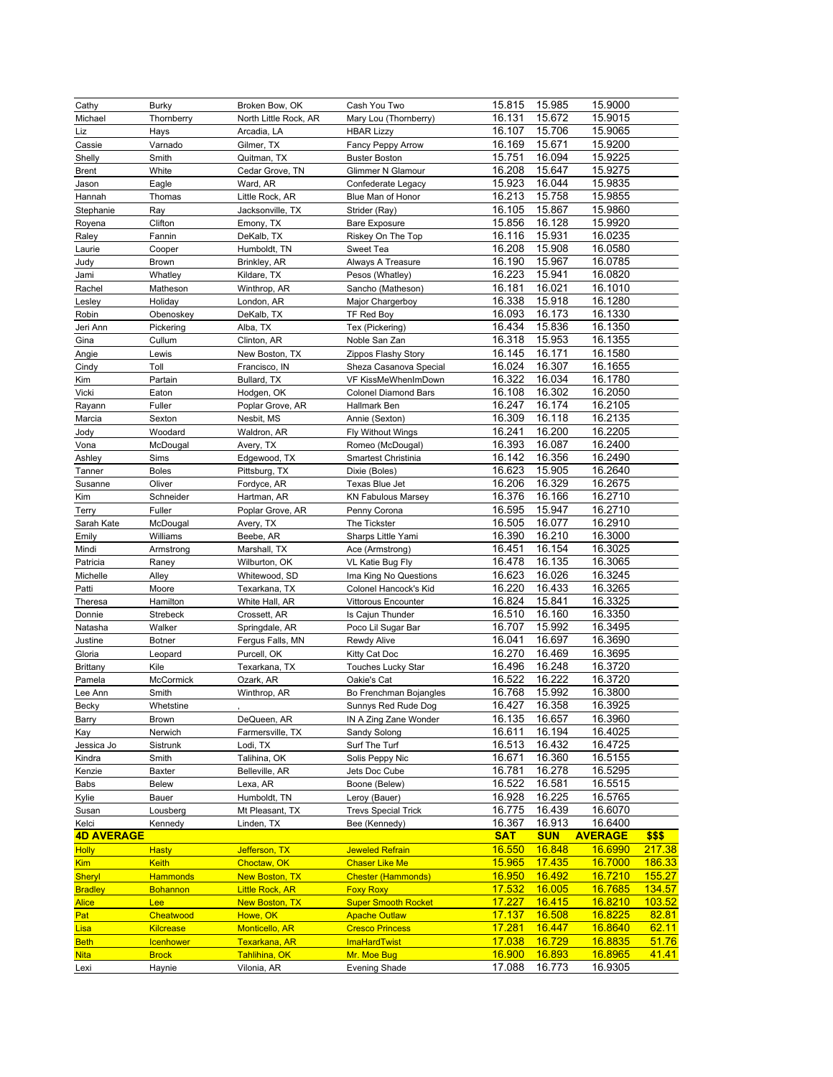| Cathy               | Burky                  | Broken Bow, OK               | Cash You Two                        | 15.815           | 15.985           | 15.9000            |        |
|---------------------|------------------------|------------------------------|-------------------------------------|------------------|------------------|--------------------|--------|
| Michael             | Thornberry             | North Little Rock, AR        | Mary Lou (Thornberry)               | 16.131           | 15.672           | 15.9015            |        |
| Liz                 | Hays                   | Arcadia, LA                  | <b>HBAR Lizzy</b>                   | 16.107           | 15.706           | 15.9065            |        |
| Cassie              | Varnado                | Gilmer, TX                   | Fancy Peppy Arrow                   | 16.169           | 15.671           | 15.9200            |        |
| Shelly              | Smith                  | Quitman, TX                  | <b>Buster Boston</b>                | 15.751           | 16.094           | 15.9225            |        |
| <b>Brent</b>        | White                  | Cedar Grove, TN              | Glimmer N Glamour                   | 16.208           | 15.647           | 15.9275            |        |
| Jason               | Eagle                  | Ward, AR                     | Confederate Legacy                  | 15.923           | 16.044           | 15.9835            |        |
| Hannah              | Thomas                 | Little Rock, AR              | Blue Man of Honor                   | 16.213           | 15.758           | 15.9855            |        |
| Stephanie           | Ray                    | Jacksonville, TX             | Strider (Ray)                       | 16.105           | 15.867           | 15.9860            |        |
| Royena              | Clifton                | Emony, TX                    | <b>Bare Exposure</b>                | 15.856           | 16.128           | 15.9920            |        |
| Raley               | Fannin                 | DeKalb, TX                   | Riskey On The Top                   | 16.116           | 15.931           | 16.0235            |        |
| Laurie              | Cooper                 | Humboldt, TN                 | Sweet Tea                           | 16.208           | 15.908           | 16.0580            |        |
|                     |                        |                              |                                     | 16.190           | 15.967           | 16.0785            |        |
| Judy                | <b>Brown</b>           | Brinkley, AR                 | Always A Treasure                   | 16.223           | 15.941           | 16.0820            |        |
| Jami                | Whatley                | Kildare, TX                  | Pesos (Whatley)                     |                  |                  |                    |        |
| Rachel              | Matheson               | Winthrop, AR                 | Sancho (Matheson)                   | 16.181           | 16.021           | 16.1010            |        |
| Lesley              | Holiday                | London, AR                   | Major Chargerboy                    | 16.338           | 15.918           | 16.1280            |        |
| Robin               | Obenoskey              | DeKalb, TX                   | TF Red Boy                          | 16.093           | 16.173           | 16.1330            |        |
| Jeri Ann            | Pickering              | Alba, TX                     | Tex (Pickering)                     | 16.434           | 15.836           | 16.1350            |        |
| Gina                | Cullum                 | Clinton, AR                  | Noble San Zan                       | 16.318           | 15.953           | 16.1355            |        |
| Angie               | Lewis                  | New Boston, TX               | Zippos Flashy Story                 | 16.145           | 16.171           | 16.1580            |        |
| Cindy               | Toll                   | Francisco, IN                | Sheza Casanova Special              | 16.024           | 16.307           | 16.1655            |        |
| Kim                 | Partain                | Bullard, TX                  | VF KissMeWhenImDown                 | 16.322           | 16.034           | 16.1780            |        |
| Vicki               | Eaton                  | Hodgen, OK                   | <b>Colonel Diamond Bars</b>         | 16.108           | 16.302           | 16.2050            |        |
| Rayann              | Fuller                 | Poplar Grove, AR             | Hallmark Ben                        | 16.247           | 16.174           | 16.2105            |        |
| Marcia              | Sexton                 | Nesbit, MS                   | Annie (Sexton)                      | 16.309           | 16.118           | 16.2135            |        |
| Jody                | Woodard                | Waldron, AR                  | <b>Fly Without Wings</b>            | 16.241           | 16.200           | 16.2205            |        |
| Vona                | McDougal               | Avery, TX                    | Romeo (McDougal)                    | 16.393           | 16.087           | 16.2400            |        |
| Ashley              | Sims                   | Edgewood, TX                 | Smartest Christinia                 | 16.142           | 16.356           | 16.2490            |        |
| Tanner              | <b>Boles</b>           | Pittsburg, TX                | Dixie (Boles)                       | 16.623           | 15.905           | 16.2640            |        |
| Susanne             | Oliver                 | Fordyce, AR                  | Texas Blue Jet                      | 16.206           | 16.329           | 16.2675            |        |
| Kim                 | Schneider              | Hartman, AR                  | <b>KN Fabulous Marsey</b>           | 16.376           | 16.166           | 16.2710            |        |
| Terry               | Fuller                 | Poplar Grove, AR             | Penny Corona                        | 16.595           | 15.947           | 16.2710            |        |
| Sarah Kate          |                        | Avery, TX                    | The Tickster                        | 16.505           | 16.077           | 16.2910            |        |
| Emily               | McDougal<br>Williams   | Beebe, AR                    | Sharps Little Yami                  | 16.390           | 16.210           | 16.3000            |        |
|                     |                        |                              |                                     | 16.451           | 16.154           | 16.3025            |        |
| Mindi               | Armstrong              | Marshall, TX                 | Ace (Armstrong)                     | 16.478           | 16.135           | 16.3065            |        |
| Patricia            | Raney                  | Wilburton, OK                | VL Katie Bug Fly                    | 16.623           | 16.026           | 16.3245            |        |
| Michelle            | Alley                  | Whitewood, SD                | Ima King No Questions               |                  |                  |                    |        |
| Patti               | Moore                  | Texarkana, TX                | Colonel Hancock's Kid               | 16.220           | 16.433           | 16.3265            |        |
| Theresa             | Hamilton               | White Hall, AR               | Vittorous Encounter                 | 16.824           | 15.841           | 16.3325            |        |
| Donnie              | Strebeck               | Crossett, AR                 | Is Cajun Thunder                    | 16.510           | 16.160           | 16.3350            |        |
| Natasha             | Walker                 | Springdale, AR               | Poco Lil Sugar Bar                  | 16.707           | 15.992           | 16.3495            |        |
| Justine             | <b>Botner</b>          | Fergus Falls, MN             | Rewdy Alive                         | 16.041           | 16.697           | 16.3690            |        |
| Gloria              | Leopard                | Purcell, OK                  | Kitty Cat Doc                       | 16.270           | 16.469           | 16.3695            |        |
| <b>Brittany</b>     | Kile                   | Texarkana, TX                | Touches Lucky Star                  | 16.496           | 16.248           | 16.3720            |        |
| Pamela              | McCormick              | Ozark, AR                    | Oakie's Cat                         | 16.522           | 16.222           | 16.3720            |        |
| Lee Ann             | Smith                  | Winthrop, AR                 | Bo Frenchman Bojangles              | 16.768           | 15.992           | 16.3800            |        |
| Becky               | Whetstine              |                              | Sunnys Red Rude Dog                 | 16.427           | 16.358           | 16.3925            |        |
| Barry               | <b>Brown</b>           | DeQueen, AR                  | IN A Zing Zane Wonder               | 16.135           | 16.657           | 16.3960            |        |
| Kay                 | Nerwich                | Farmersville, TX             | Sandy Solong                        | 16.611           | 16.194           | 16.4025            |        |
| Jessica Jo          | Sistrunk               | Lodi, TX                     | Surf The Turf                       | 16.513           | 16.432           | 16.4725            |        |
| Kindra              | Smith                  | Talihina, OK                 | Solis Peppy Nic                     | 16.671           | 16.360           | 16.5155            |        |
| Kenzie              | <b>Baxter</b>          | Belleville, AR               | Jets Doc Cube                       | 16.781           | 16.278           | 16.5295            |        |
| Babs                | <b>Belew</b>           | Lexa, AR                     | Boone (Belew)                       | 16.522           | 16.581           | 16.5515            |        |
| Kylie               | Bauer                  | Humboldt, TN                 | Leroy (Bauer)                       | 16.928           | 16.225           | 16.5765            |        |
| Susan               | Lousberg               | Mt Pleasant, TX              | <b>Trevs Special Trick</b>          | 16.775           | 16.439           | 16.6070            |        |
| Kelci               | Kennedy                | Linden, TX                   | Bee (Kennedy)                       | 16.367           | 16.913           | 16.6400            |        |
| <b>4D AVERAGE</b>   |                        |                              |                                     | <b>SAT</b>       | <b>SUN</b>       | <b>AVERAGE</b>     | \$\$\$ |
| <b>Holly</b>        | <b>Hasty</b>           | Jefferson, TX                | <b>Jeweled Refrain</b>              | 16.550           | 16.848           | 16.6990            | 217.38 |
| <b>Kim</b>          | <b>Keith</b>           | Choctaw, OK                  | <b>Chaser Like Me</b>               | 15.965           | 17.435           | 16.7000            | 186.33 |
| <b>Sheryl</b>       | <b>Hammonds</b>        | <b>New Boston, TX</b>        | <b>Chester (Hammonds)</b>           | 16.950           | 16.492           | 16.7210            | 155.27 |
| <b>Bradley</b>      | <b>Bohannon</b>        | <b>Little Rock, AR</b>       | <b>Foxy Roxy</b>                    | 17.532           | 16.005           | 16.7685            | 134.57 |
| <b>Alice</b>        | Lee                    | <b>New Boston, TX</b>        | <b>Super Smooth Rocket</b>          | <u>17.227</u>    | 16.415           | <u>16.8210</u>     | 103.52 |
| Pat                 | Cheatwood              | Howe, OK                     | <b>Apache Outlaw</b>                | <u>17.137</u>    | 16.508           | 16.8225            | 82.81  |
| Lisa                | <b>Kilcrease</b>       | <b>Monticello, AR</b>        | <b>Cresco Princess</b>              | <u>17.281</u>    | 16.447           | 16.8640            | 62.11  |
| <b>Beth</b>         |                        |                              | <b>ImaHardTwist</b>                 | 17.038           | 16.729           | 16.8835            | 51.76  |
|                     |                        |                              |                                     |                  |                  |                    |        |
|                     | Icenhower              | Texarkana, AR                |                                     |                  |                  |                    |        |
| <b>Nita</b><br>Lexi | <b>Brock</b><br>Haynie | Tahlihina, OK<br>Vilonia, AR | Mr. Moe Bug<br><b>Evening Shade</b> | 16.900<br>17.088 | 16.893<br>16.773 | 16.8965<br>16.9305 | 41.41  |